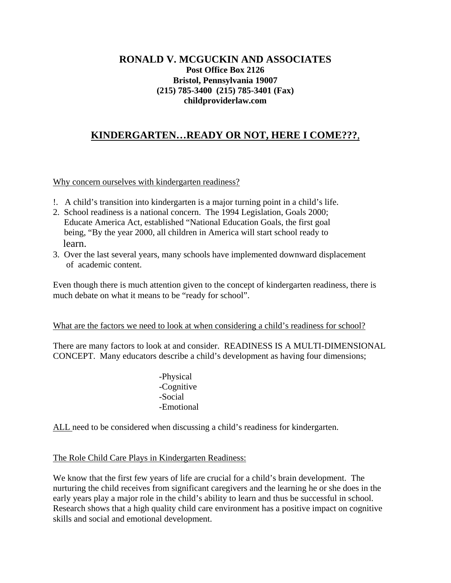## **RONALD V. MCGUCKIN AND ASSOCIATES Post Office Box 2126 Bristol, Pennsylvania 19007 (215) 785-3400 (215) 785-3401 (Fax) childproviderlaw.com**

# **KINDERGARTEN…READY OR NOT, HERE I COME???**,

Why concern ourselves with kindergarten readiness?

- !. A child's transition into kindergarten is a major turning point in a child's life.
- 2. School readiness is a national concern. The 1994 Legislation, Goals 2000; Educate America Act, established "National Education Goals, the first goal being, "By the year 2000, all children in America will start school ready to learn.
- 3. Over the last several years, many schools have implemented downward displacement of academic content.

Even though there is much attention given to the concept of kindergarten readiness, there is much debate on what it means to be "ready for school".

#### What are the factors we need to look at when considering a child's readiness for school?

There are many factors to look at and consider. READINESS IS A MULTI-DIMENSIONAL CONCEPT. Many educators describe a child's development as having four dimensions;

> -Physical -Cognitive -Social -Emotional

ALL need to be considered when discussing a child's readiness for kindergarten.

## The Role Child Care Plays in Kindergarten Readiness:

We know that the first few years of life are crucial for a child's brain development. The nurturing the child receives from significant caregivers and the learning he or she does in the early years play a major role in the child's ability to learn and thus be successful in school. Research shows that a high quality child care environment has a positive impact on cognitive skills and social and emotional development.